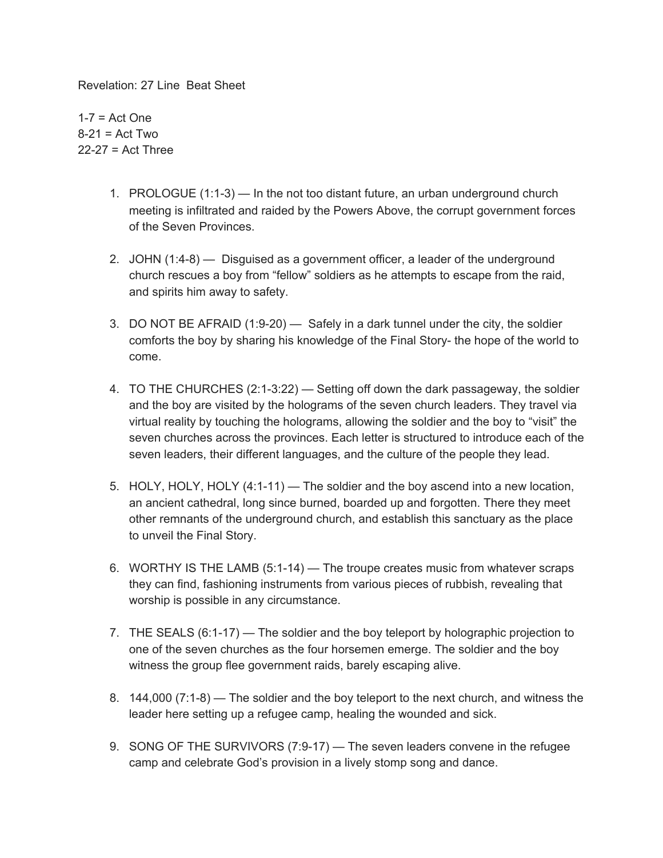Revelation: 27 Line Beat Sheet

 $1-7$  = Act One  $8-21$  = Act Two 22-27 = Act Three

- 1. PROLOGUE (1:1-3) In the not too distant future, an urban underground church meeting is infiltrated and raided by the Powers Above, the corrupt government forces of the Seven Provinces.
- 2. JOHN (1:4-8) Disguised as a government officer, a leader of the underground church rescues a boy from "fellow" soldiers as he attempts to escape from the raid, and spirits him away to safety.
- 3. DO NOT BE AFRAID (1:9-20) Safely in a dark tunnel under the city, the soldier comforts the boy by sharing his knowledge of the Final Story- the hope of the world to come.
- 4. TO THE CHURCHES (2:1-3:22) Setting off down the dark passageway, the soldier and the boy are visited by the holograms of the seven church leaders. They travel via virtual reality by touching the holograms, allowing the soldier and the boy to "visit" the seven churches across the provinces. Each letter is structured to introduce each of the seven leaders, their different languages, and the culture of the people they lead.
- 5. HOLY, HOLY, HOLY (4:1-11) The soldier and the boy ascend into a new location, an ancient cathedral, long since burned, boarded up and forgotten. There they meet other remnants of the underground church, and establish this sanctuary as the place to unveil the Final Story.
- 6. WORTHY IS THE LAMB (5:1-14) The troupe creates music from whatever scraps they can find, fashioning instruments from various pieces of rubbish, revealing that worship is possible in any circumstance.
- 7. THE SEALS (6:1-17) The soldier and the boy teleport by holographic projection to one of the seven churches as the four horsemen emerge. The soldier and the boy witness the group flee government raids, barely escaping alive.
- 8. 144,000 (7:1-8) The soldier and the boy teleport to the next church, and witness the leader here setting up a refugee camp, healing the wounded and sick.
- 9. SONG OF THE SURVIVORS (7:9-17) The seven leaders convene in the refugee camp and celebrate God's provision in a lively stomp song and dance.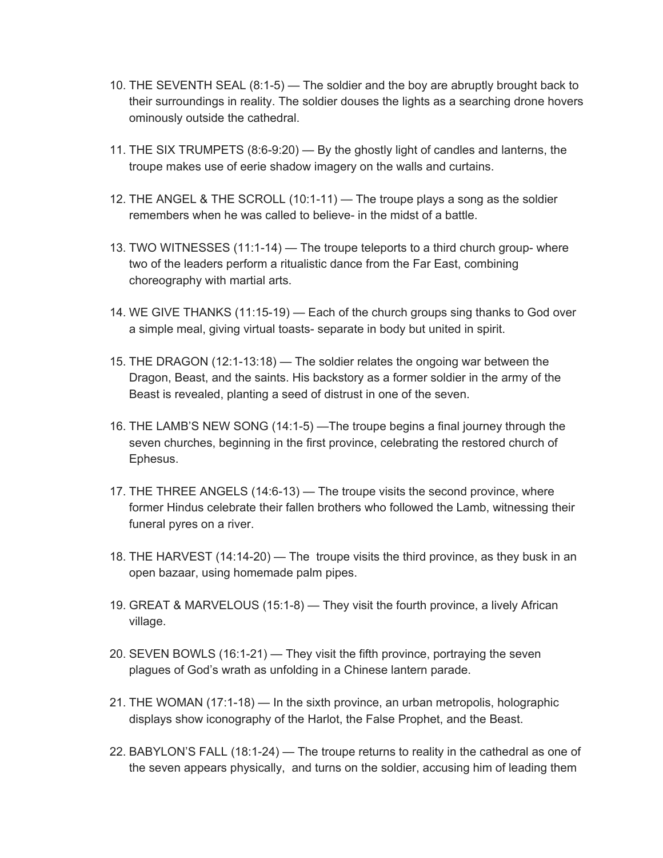- 10. THE SEVENTH SEAL (8:1-5) The soldier and the boy are abruptly brought back to their surroundings in reality. The soldier douses the lights as a searching drone hovers ominously outside the cathedral.
- 11. THE SIX TRUMPETS (8:6-9:20) By the ghostly light of candles and lanterns, the troupe makes use of eerie shadow imagery on the walls and curtains.
- 12. THE ANGEL & THE SCROLL (10:1-11) The troupe plays a song as the soldier remembers when he was called to believe- in the midst of a battle.
- 13. TWO WITNESSES (11:1-14) The troupe teleports to a third church group- where two of the leaders perform a ritualistic dance from the Far East, combining choreography with martial arts.
- 14. WE GIVE THANKS (11:15-19) Each of the church groups sing thanks to God over a simple meal, giving virtual toasts- separate in body but united in spirit.
- 15. THE DRAGON (12:1-13:18) The soldier relates the ongoing war between the Dragon, Beast, and the saints. His backstory as a former soldier in the army of the Beast is revealed, planting a seed of distrust in one of the seven.
- 16. THE LAMB'S NEW SONG (14:1-5) —The troupe begins a final journey through the seven churches, beginning in the first province, celebrating the restored church of Ephesus.
- 17. THE THREE ANGELS (14:6-13) The troupe visits the second province, where former Hindus celebrate their fallen brothers who followed the Lamb, witnessing their funeral pyres on a river.
- 18. THE HARVEST (14:14-20) The troupe visits the third province, as they busk in an open bazaar, using homemade palm pipes.
- 19. GREAT & MARVELOUS (15:1-8) They visit the fourth province, a lively African village.
- 20. SEVEN BOWLS (16:1-21) They visit the fifth province, portraying the seven plagues of God's wrath as unfolding in a Chinese lantern parade.
- 21. THE WOMAN (17:1-18) In the sixth province, an urban metropolis, holographic displays show iconography of the Harlot, the False Prophet, and the Beast.
- 22. BABYLON'S FALL (18:1-24) The troupe returns to reality in the cathedral as one of the seven appears physically, and turns on the soldier, accusing him of leading them